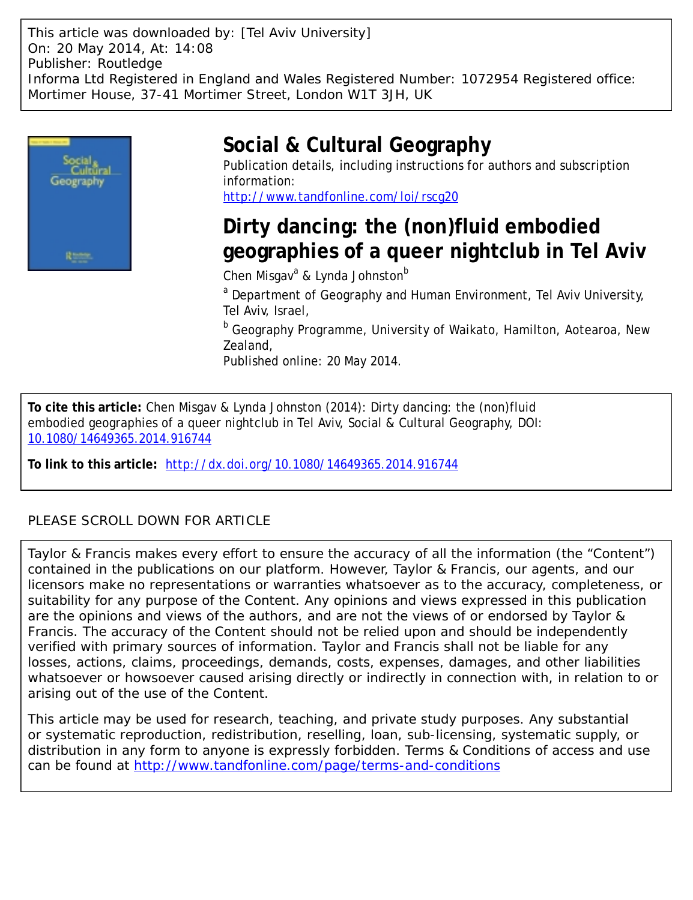This article was downloaded by: [Tel Aviv University] On: 20 May 2014, At: 14:08 Publisher: Routledge Informa Ltd Registered in England and Wales Registered Number: 1072954 Registered office: Mortimer House, 37-41 Mortimer Street, London W1T 3JH, UK



## **Social & Cultural Geography**

Publication details, including instructions for authors and subscription information:

<http://www.tandfonline.com/loi/rscg20>

# **Dirty dancing: the (non)fluid embodied geographies of a queer nightclub in Tel Aviv**

Chen Misgav<sup>a</sup> & Lynda Johnston<sup>b</sup>

<sup>a</sup> Department of Geography and Human Environment, Tel Aviv University, Tel Aviv, Israel,

<sup>b</sup> Geography Programme, University of Waikato, Hamilton, Aotearoa, New Zealand,

Published online: 20 May 2014.

**To cite this article:** Chen Misgav & Lynda Johnston (2014): Dirty dancing: the (non)fluid embodied geographies of a queer nightclub in Tel Aviv, Social & Cultural Geography, DOI: [10.1080/14649365.2014.916744](http://www.tandfonline.com/action/showCitFormats?doi=10.1080/14649365.2014.916744)

**To link to this article:** <http://dx.doi.org/10.1080/14649365.2014.916744>

## PLEASE SCROLL DOWN FOR ARTICLE

Taylor & Francis makes every effort to ensure the accuracy of all the information (the "Content") contained in the publications on our platform. However, Taylor & Francis, our agents, and our licensors make no representations or warranties whatsoever as to the accuracy, completeness, or suitability for any purpose of the Content. Any opinions and views expressed in this publication are the opinions and views of the authors, and are not the views of or endorsed by Taylor & Francis. The accuracy of the Content should not be relied upon and should be independently verified with primary sources of information. Taylor and Francis shall not be liable for any losses, actions, claims, proceedings, demands, costs, expenses, damages, and other liabilities whatsoever or howsoever caused arising directly or indirectly in connection with, in relation to or arising out of the use of the Content.

This article may be used for research, teaching, and private study purposes. Any substantial or systematic reproduction, redistribution, reselling, loan, sub-licensing, systematic supply, or distribution in any form to anyone is expressly forbidden. Terms & Conditions of access and use can be found at <http://www.tandfonline.com/page/terms-and-conditions>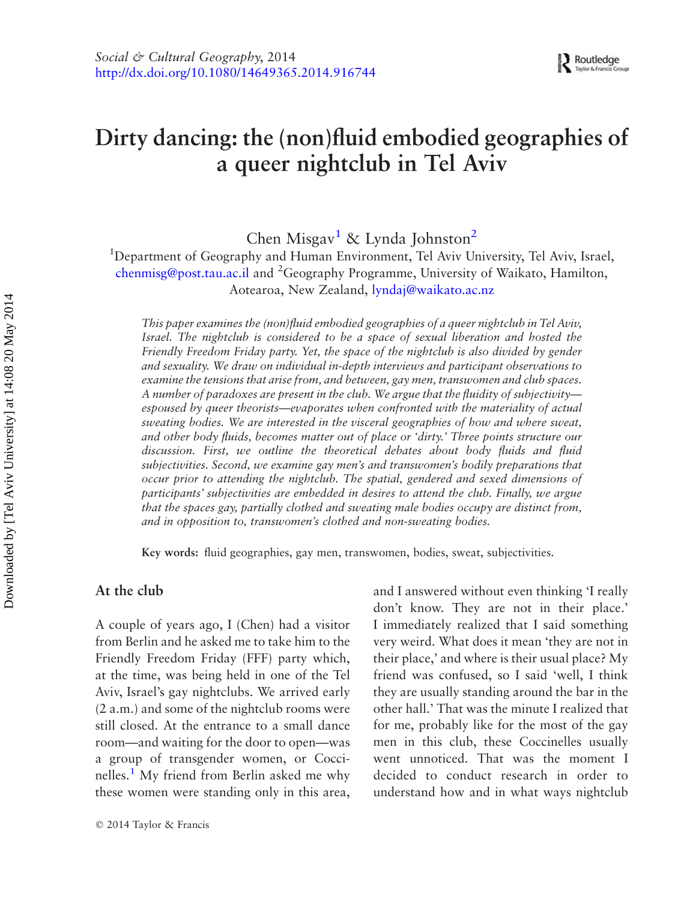## Dirty dancing: the (non)fluid embodied geographies of a queer nightclub in Tel Aviv

Chen Misgav<sup>[1](#page-1-0)</sup> & Lynda Johnston<sup>2</sup>

<span id="page-1-1"></span><span id="page-1-0"></span><sup>1</sup>Department of Geography and Human Environment, Tel Aviv University, Tel Aviv, Israel, [chenmisg@post.tau.ac.il](mailto:chenmisg@post.tau.ac.il) and <sup>2</sup>Geography Programme, University of Waikato, Hamilton, Aotearoa, New Zealand, [lyndaj@waikato.ac.nz](mailto:lyndaj@waikato.ac.nz)

This paper examines the (non)fluid embodied geographies of a queer nightclub in Tel Aviv, Israel. The nightclub is considered to be a space of sexual liberation and hosted the Friendly Freedom Friday party. Yet, the space of the nightclub is also divided by gender and sexuality. We draw on individual in-depth interviews and participant observations to examine the tensions that arise from, and between, gay men, transwomen and club spaces. A number of paradoxes are present in the club. We argue that the fluidity of subjectivity espoused by queer theorists—evaporates when confronted with the materiality of actual sweating bodies. We are interested in the visceral geographies of how and where sweat, and other body fluids, becomes matter out of place or 'dirty.' Three points structure our discussion. First, we outline the theoretical debates about body fluids and fluid subjectivities. Second, we examine gay men's and transwomen's bodily preparations that occur prior to attending the nightclub. The spatial, gendered and sexed dimensions of participants' subjectivities are embedded in desires to attend the club. Finally, we argue that the spaces gay, partially clothed and sweating male bodies occupy are distinct from, and in opposition to, transwomen's clothed and non-sweating bodies.

Key words: fluid geographies, gay men, transwomen, bodies, sweat, subjectivities.

## At the club

A couple of years ago, I (Chen) had a visitor from Berlin and he asked me to take him to the Friendly Freedom Friday (FFF) party which, at the time, was being held in one of the Tel Aviv, Israel's gay nightclubs. We arrived early (2 a.m.) and some of the nightclub rooms were still closed. At the entrance to a small dance room—and waiting for the door to open—was a group of transgender women, or Cocci-nelles.<sup>[1](#page-15-0)</sup> My friend from Berlin asked me why these women were standing only in this area, and I answered without even thinking 'I really don't know. They are not in their place.' I immediately realized that I said something very weird. What does it mean 'they are not in their place,' and where is their usual place? My friend was confused, so I said 'well, I think they are usually standing around the bar in the other hall.' That was the minute I realized that for me, probably like for the most of the gay men in this club, these Coccinelles usually went unnoticed. That was the moment I decided to conduct research in order to understand how and in what ways nightclub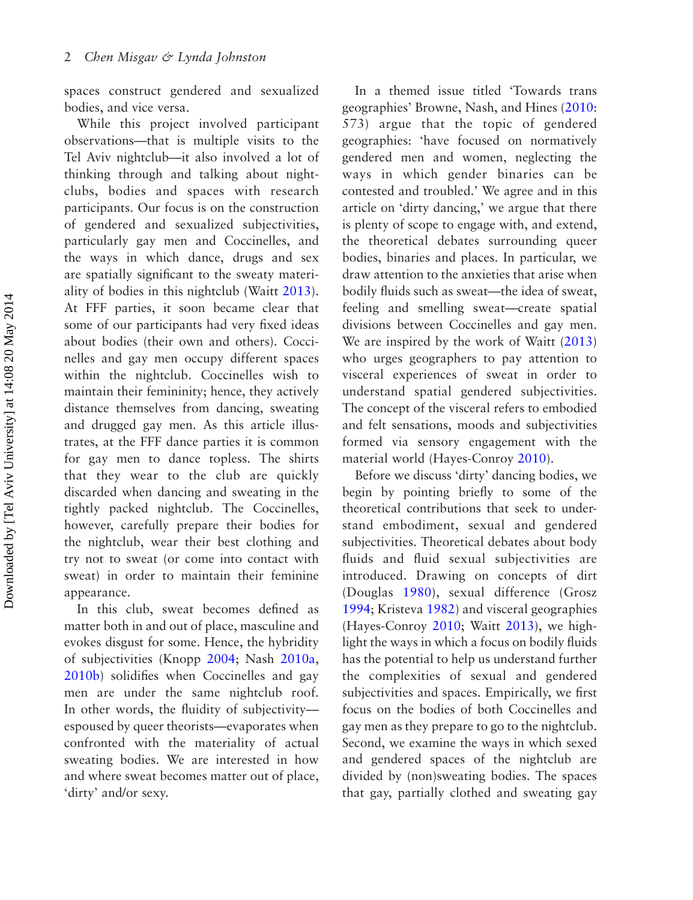spaces construct gendered and sexualized bodies, and vice versa.

While this project involved participant observations—that is multiple visits to the Tel Aviv nightclub—it also involved a lot of thinking through and talking about nightclubs, bodies and spaces with research participants. Our focus is on the construction of gendered and sexualized subjectivities, particularly gay men and Coccinelles, and the ways in which dance, drugs and sex are spatially significant to the sweaty materiality of bodies in this nightclub (Waitt [2013\)](#page-17-0). At FFF parties, it soon became clear that some of our participants had very fixed ideas about bodies (their own and others). Coccinelles and gay men occupy different spaces within the nightclub. Coccinelles wish to maintain their femininity; hence, they actively distance themselves from dancing, sweating and drugged gay men. As this article illustrates, at the FFF dance parties it is common for gay men to dance topless. The shirts that they wear to the club are quickly discarded when dancing and sweating in the tightly packed nightclub. The Coccinelles, however, carefully prepare their bodies for the nightclub, wear their best clothing and try not to sweat (or come into contact with sweat) in order to maintain their feminine appearance.

In this club, sweat becomes defined as matter both in and out of place, masculine and evokes disgust for some. Hence, the hybridity of subjectivities (Knopp [2004](#page-16-0); Nash [2010a](#page-16-1), [2010b](#page-16-2)) solidifies when Coccinelles and gay men are under the same nightclub roof. In other words, the fluidity of subjectivity espoused by queer theorists—evaporates when confronted with the materiality of actual sweating bodies. We are interested in how and where sweat becomes matter out of place, 'dirty' and/or sexy.

In a themed issue titled 'Towards trans geographies' Browne, Nash, and Hines [\(2010](#page-15-1): 573) argue that the topic of gendered geographies: 'have focused on normatively gendered men and women, neglecting the ways in which gender binaries can be contested and troubled.' We agree and in this article on 'dirty dancing,' we argue that there is plenty of scope to engage with, and extend, the theoretical debates surrounding queer bodies, binaries and places. In particular, we draw attention to the anxieties that arise when bodily fluids such as sweat—the idea of sweat, feeling and smelling sweat—create spatial divisions between Coccinelles and gay men. We are inspired by the work of Waitt ([2013\)](#page-17-0) who urges geographers to pay attention to visceral experiences of sweat in order to understand spatial gendered subjectivities. The concept of the visceral refers to embodied and felt sensations, moods and subjectivities formed via sensory engagement with the material world (Hayes-Conroy [2010\)](#page-16-3).

Before we discuss 'dirty' dancing bodies, we begin by pointing briefly to some of the theoretical contributions that seek to understand embodiment, sexual and gendered subjectivities. Theoretical debates about body fluids and fluid sexual subjectivities are introduced. Drawing on concepts of dirt (Douglas [1980\)](#page-15-2), sexual difference (Grosz [1994;](#page-15-3) Kristeva [1982](#page-16-4)) and visceral geographies (Hayes-Conroy [2010;](#page-16-3) Waitt [2013](#page-17-0)), we highlight the ways in which a focus on bodily fluids has the potential to help us understand further the complexities of sexual and gendered subjectivities and spaces. Empirically, we first focus on the bodies of both Coccinelles and gay men as they prepare to go to the nightclub. Second, we examine the ways in which sexed and gendered spaces of the nightclub are divided by (non)sweating bodies. The spaces that gay, partially clothed and sweating gay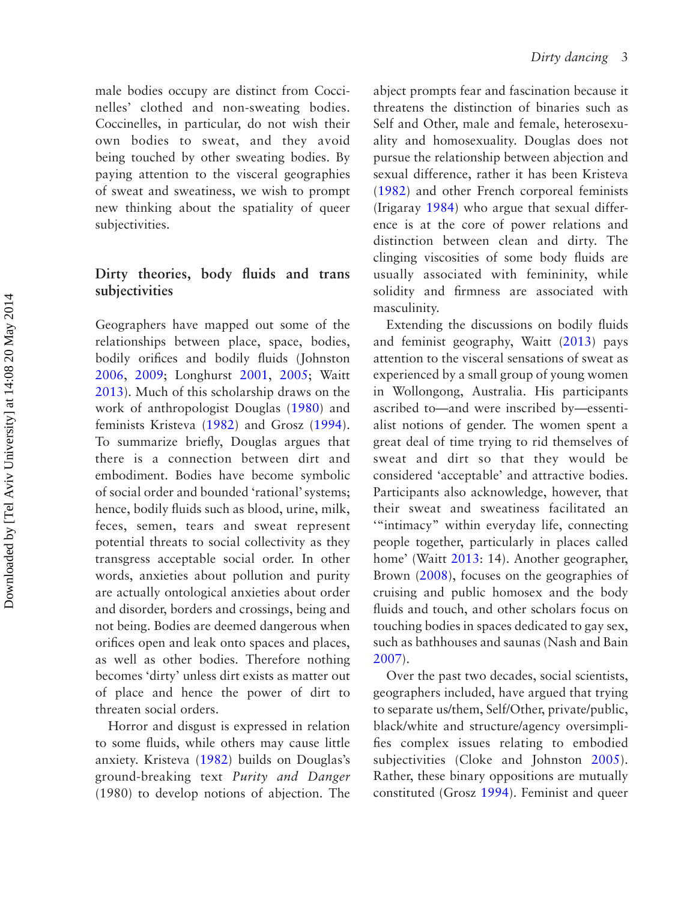male bodies occupy are distinct from Coccinelles' clothed and non-sweating bodies. Coccinelles, in particular, do not wish their own bodies to sweat, and they avoid being touched by other sweating bodies. By paying attention to the visceral geographies of sweat and sweatiness, we wish to prompt new thinking about the spatiality of queer subjectivities.

## Dirty theories, body fluids and trans subjectivities

Geographers have mapped out some of the relationships between place, space, bodies, bodily orifices and bodily fluids (Johnston [2006,](#page-16-5) [2009;](#page-16-6) Longhurst [2001,](#page-16-7) [2005;](#page-16-8) Waitt [2013\)](#page-17-0). Much of this scholarship draws on the work of anthropologist Douglas [\(1980](#page-15-2)) and feminists Kristeva [\(1982\)](#page-16-4) and Grosz ([1994\)](#page-15-3). To summarize briefly, Douglas argues that there is a connection between dirt and embodiment. Bodies have become symbolic of social order and bounded 'rational' systems; hence, bodily fluids such as blood, urine, milk, feces, semen, tears and sweat represent potential threats to social collectivity as they transgress acceptable social order. In other words, anxieties about pollution and purity are actually ontological anxieties about order and disorder, borders and crossings, being and not being. Bodies are deemed dangerous when orifices open and leak onto spaces and places, as well as other bodies. Therefore nothing becomes 'dirty' unless dirt exists as matter out of place and hence the power of dirt to threaten social orders.

Horror and disgust is expressed in relation to some fluids, while others may cause little anxiety. Kristeva ([1982\)](#page-16-4) builds on Douglas's ground-breaking text Purity and Danger (1980) to develop notions of abjection. The abject prompts fear and fascination because it threatens the distinction of binaries such as Self and Other, male and female, heterosexuality and homosexuality. Douglas does not pursue the relationship between abjection and sexual difference, rather it has been Kristeva [\(1982](#page-16-4)) and other French corporeal feminists (Irigaray [1984\)](#page-16-9) who argue that sexual difference is at the core of power relations and distinction between clean and dirty. The clinging viscosities of some body fluids are usually associated with femininity, while solidity and firmness are associated with masculinity.

Extending the discussions on bodily fluids and feminist geography, Waitt ([2013\)](#page-17-0) pays attention to the visceral sensations of sweat as experienced by a small group of young women in Wollongong, Australia. His participants ascribed to—and were inscribed by—essentialist notions of gender. The women spent a great deal of time trying to rid themselves of sweat and dirt so that they would be considered 'acceptable' and attractive bodies. Participants also acknowledge, however, that their sweat and sweatiness facilitated an '"intimacy" within everyday life, connecting people together, particularly in places called home' (Waitt [2013](#page-17-0): 14). Another geographer, Brown ([2008\)](#page-15-4), focuses on the geographies of cruising and public homosex and the body fluids and touch, and other scholars focus on touching bodies in spaces dedicated to gay sex, such as bathhouses and saunas (Nash and Bain [2007\)](#page-16-10).

Over the past two decades, social scientists, geographers included, have argued that trying to separate us/them, Self/Other, private/public, black/white and structure/agency oversimplifies complex issues relating to embodied subjectivities (Cloke and Johnston [2005\)](#page-15-5). Rather, these binary oppositions are mutually constituted (Grosz [1994\)](#page-15-3). Feminist and queer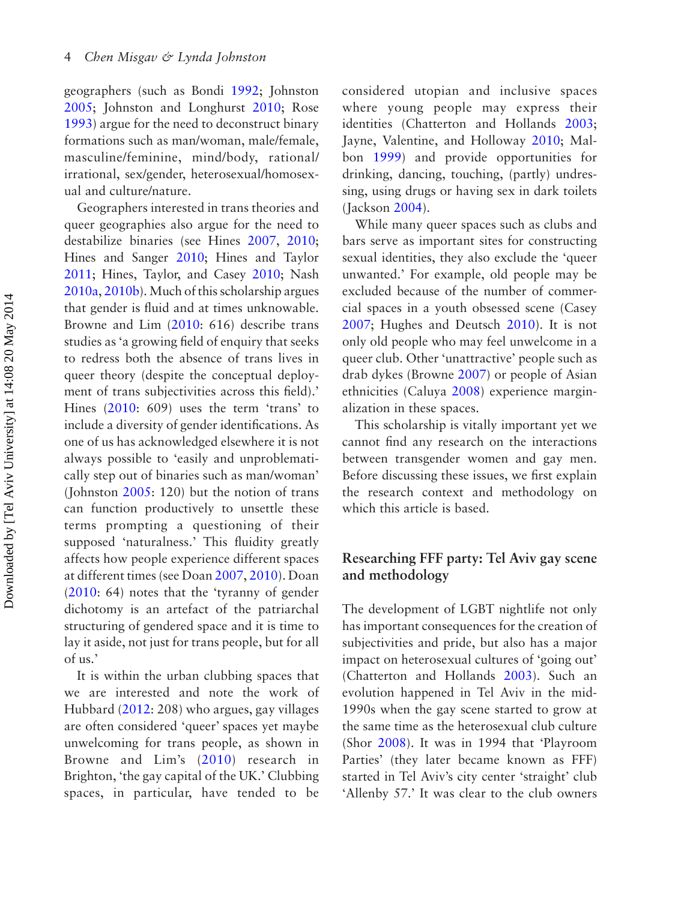geographers (such as Bondi [1992;](#page-15-6) Johnston [2005;](#page-16-11) Johnston and Longhurst [2010](#page-16-12); Rose [1993\)](#page-16-13) argue for the need to deconstruct binary formations such as man/woman, male/female, masculine/feminine, mind/body, rational/ irrational, sex/gender, heterosexual/homosexual and culture/nature.

Geographers interested in trans theories and queer geographies also argue for the need to destabilize binaries (see Hines [2007,](#page-16-14) [2010](#page-16-15); Hines and Sanger [2010](#page-16-16); Hines and Taylor [2011](#page-16-17); Hines, Taylor, and Casey [2010;](#page-16-18) Nash [2010a](#page-16-1), [2010b\)](#page-16-2). Much of this scholarship argues that gender is fluid and at times unknowable. Browne and Lim ([2010:](#page-15-7) 616) describe trans studies as 'a growing field of enquiry that seeks to redress both the absence of trans lives in queer theory (despite the conceptual deployment of trans subjectivities across this field).' Hines [\(2010](#page-16-15): 609) uses the term 'trans' to include a diversity of gender identifications. As one of us has acknowledged elsewhere it is not always possible to 'easily and unproblematically step out of binaries such as man/woman' (Johnston [2005](#page-16-11): 120) but the notion of trans can function productively to unsettle these terms prompting a questioning of their supposed 'naturalness.' This fluidity greatly affects how people experience different spaces at different times (see Doan [2007](#page-15-8), [2010](#page-15-9)). Doan ([2010:](#page-15-9) 64) notes that the 'tyranny of gender dichotomy is an artefact of the patriarchal structuring of gendered space and it is time to lay it aside, not just for trans people, but for all of us.'

It is within the urban clubbing spaces that we are interested and note the work of Hubbard [\(2012:](#page-16-19) 208) who argues, gay villages are often considered 'queer' spaces yet maybe unwelcoming for trans people, as shown in Browne and Lim's ([2010](#page-15-7)) research in Brighton, 'the gay capital of the UK.' Clubbing spaces, in particular, have tended to be

considered utopian and inclusive spaces where young people may express their identities (Chatterton and Hollands [2003](#page-15-10); Jayne, Valentine, and Holloway [2010;](#page-16-20) Malbon [1999\)](#page-16-21) and provide opportunities for drinking, dancing, touching, (partly) undressing, using drugs or having sex in dark toilets (Jackson [2004\)](#page-16-22).

While many queer spaces such as clubs and bars serve as important sites for constructing sexual identities, they also exclude the 'queer unwanted.' For example, old people may be excluded because of the number of commercial spaces in a youth obsessed scene (Casey [2007;](#page-15-11) Hughes and Deutsch [2010](#page-16-23)). It is not only old people who may feel unwelcome in a queer club. Other 'unattractive' people such as drab dykes (Browne [2007](#page-15-12)) or people of Asian ethnicities (Caluya [2008\)](#page-15-13) experience marginalization in these spaces.

This scholarship is vitally important yet we cannot find any research on the interactions between transgender women and gay men. Before discussing these issues, we first explain the research context and methodology on which this article is based.

## Researching FFF party: Tel Aviv gay scene and methodology

The development of LGBT nightlife not only has important consequences for the creation of subjectivities and pride, but also has a major impact on heterosexual cultures of 'going out' (Chatterton and Hollands [2003\)](#page-15-10). Such an evolution happened in Tel Aviv in the mid-1990s when the gay scene started to grow at the same time as the heterosexual club culture (Shor [2008](#page-17-1)). It was in 1994 that 'Playroom Parties' (they later became known as FFF) started in Tel Aviv's city center 'straight' club 'Allenby 57.' It was clear to the club owners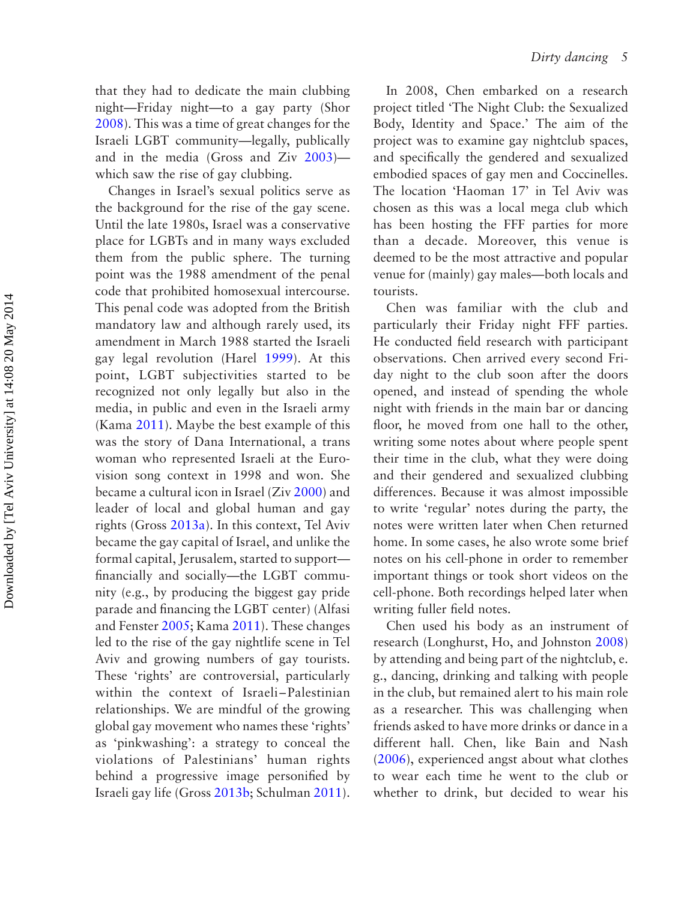that they had to dedicate the main clubbing night—Friday night—to a gay party (Shor [2008\)](#page-17-1). This was a time of great changes for the Israeli LGBT community—legally, publically and in the media (Gross and Ziv [2003\)](#page-15-14) which saw the rise of gay clubbing.

Changes in Israel's sexual politics serve as the background for the rise of the gay scene. Until the late 1980s, Israel was a conservative place for LGBTs and in many ways excluded them from the public sphere. The turning point was the 1988 amendment of the penal code that prohibited homosexual intercourse. This penal code was adopted from the British mandatory law and although rarely used, its amendment in March 1988 started the Israeli gay legal revolution (Harel [1999\)](#page-16-24). At this point, LGBT subjectivities started to be recognized not only legally but also in the media, in public and even in the Israeli army (Kama [2011](#page-16-25)). Maybe the best example of this was the story of Dana International, a trans woman who represented Israeli at the Eurovision song context in 1998 and won. She became a cultural icon in Israel (Ziv [2000](#page-17-2)) and leader of local and global human and gay rights (Gross [2013a\)](#page-15-15). In this context, Tel Aviv became the gay capital of Israel, and unlike the formal capital, Jerusalem, started to support financially and socially—the LGBT community (e.g., by producing the biggest gay pride parade and financing the LGBT center) (Alfasi and Fenster [2005](#page-15-16); Kama [2011\)](#page-16-25). These changes led to the rise of the gay nightlife scene in Tel Aviv and growing numbers of gay tourists. These 'rights' are controversial, particularly within the context of Israeli –Palestinian relationships. We are mindful of the growing global gay movement who names these 'rights' as 'pinkwashing': a strategy to conceal the violations of Palestinians' human rights behind a progressive image personified by Israeli gay life (Gross [2013b](#page-15-17); Schulman [2011\)](#page-16-26).

In 2008, Chen embarked on a research project titled 'The Night Club: the Sexualized Body, Identity and Space.' The aim of the project was to examine gay nightclub spaces, and specifically the gendered and sexualized embodied spaces of gay men and Coccinelles. The location 'Haoman 17' in Tel Aviv was chosen as this was a local mega club which has been hosting the FFF parties for more than a decade. Moreover, this venue is deemed to be the most attractive and popular venue for (mainly) gay males—both locals and tourists.

Chen was familiar with the club and particularly their Friday night FFF parties. He conducted field research with participant observations. Chen arrived every second Friday night to the club soon after the doors opened, and instead of spending the whole night with friends in the main bar or dancing floor, he moved from one hall to the other, writing some notes about where people spent their time in the club, what they were doing and their gendered and sexualized clubbing differences. Because it was almost impossible to write 'regular' notes during the party, the notes were written later when Chen returned home. In some cases, he also wrote some brief notes on his cell-phone in order to remember important things or took short videos on the cell-phone. Both recordings helped later when writing fuller field notes.

Chen used his body as an instrument of research (Longhurst, Ho, and Johnston [2008\)](#page-16-27) by attending and being part of the nightclub, e. g., dancing, drinking and talking with people in the club, but remained alert to his main role as a researcher. This was challenging when friends asked to have more drinks or dance in a different hall. Chen, like Bain and Nash [\(2006](#page-15-18)), experienced angst about what clothes to wear each time he went to the club or whether to drink, but decided to wear his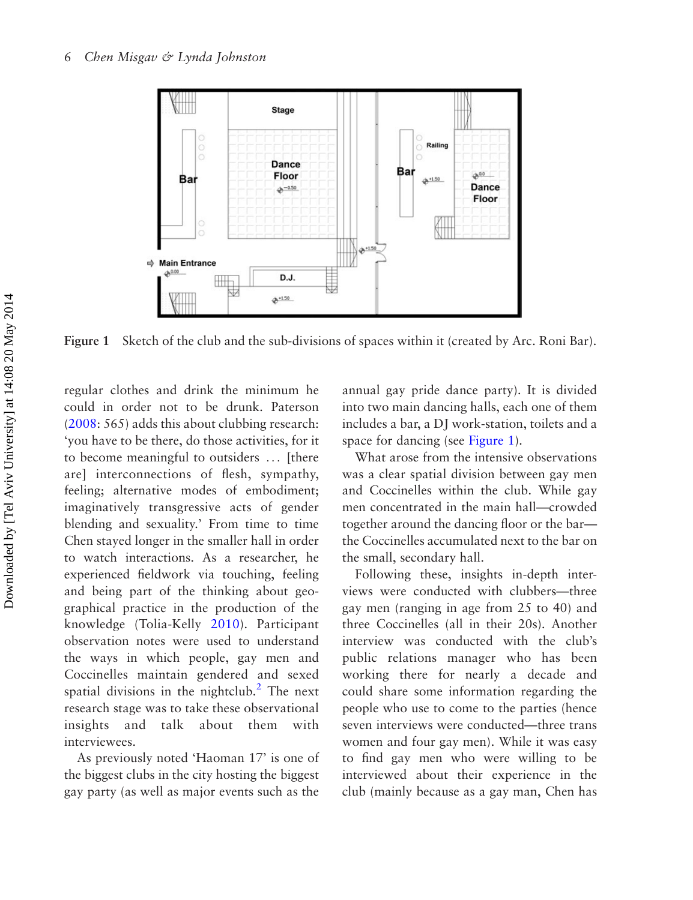<span id="page-6-0"></span>

Figure 1 Sketch of the club and the sub-divisions of spaces within it (created by Arc. Roni Bar).

regular clothes and drink the minimum he could in order not to be drunk. Paterson ([2008:](#page-16-28) 565) adds this about clubbing research: 'you have to be there, do those activities, for it to become meaningful to outsiders ... [there are] interconnections of flesh, sympathy, feeling; alternative modes of embodiment; imaginatively transgressive acts of gender blending and sexuality.' From time to time Chen stayed longer in the smaller hall in order to watch interactions. As a researcher, he experienced fieldwork via touching, feeling and being part of the thinking about geographical practice in the production of the knowledge (Tolia-Kelly [2010](#page-17-3)). Participant observation notes were used to understand the ways in which people, gay men and Coccinelles maintain gendered and sexed spatial divisions in the nightclub.<sup>[2](#page-15-19)</sup> The next research stage was to take these observational insights and talk about them with interviewees.

As previously noted 'Haoman 17' is one of the biggest clubs in the city hosting the biggest gay party (as well as major events such as the annual gay pride dance party). It is divided into two main dancing halls, each one of them includes a bar, a DJ work-station, toilets and a space for dancing (see [Figure 1](#page-6-0)).

What arose from the intensive observations was a clear spatial division between gay men and Coccinelles within the club. While gay men concentrated in the main hall—crowded together around the dancing floor or the bar the Coccinelles accumulated next to the bar on the small, secondary hall.

Following these, insights in-depth interviews were conducted with clubbers—three gay men (ranging in age from 25 to 40) and three Coccinelles (all in their 20s). Another interview was conducted with the club's public relations manager who has been working there for nearly a decade and could share some information regarding the people who use to come to the parties (hence seven interviews were conducted—three trans women and four gay men). While it was easy to find gay men who were willing to be interviewed about their experience in the club (mainly because as a gay man, Chen has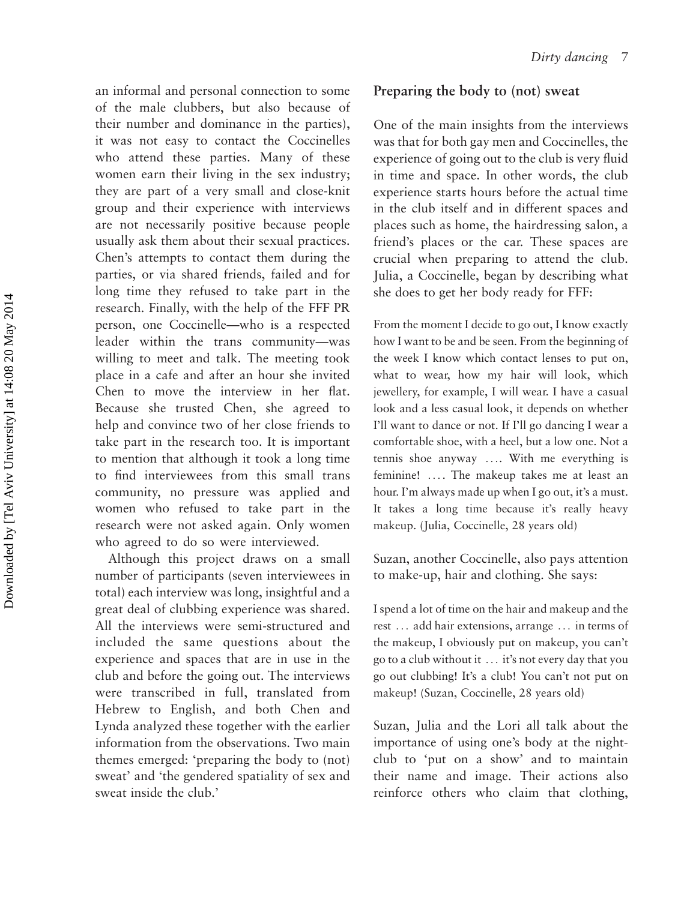an informal and personal connection to some of the male clubbers, but also because of their number and dominance in the parties), it was not easy to contact the Coccinelles who attend these parties. Many of these women earn their living in the sex industry; they are part of a very small and close-knit group and their experience with interviews are not necessarily positive because people usually ask them about their sexual practices. Chen's attempts to contact them during the parties, or via shared friends, failed and for long time they refused to take part in the research. Finally, with the help of the FFF PR person, one Coccinelle—who is a respected leader within the trans community—was willing to meet and talk. The meeting took place in a cafe and after an hour she invited Chen to move the interview in her flat. Because she trusted Chen, she agreed to help and convince two of her close friends to take part in the research too. It is important to mention that although it took a long time to find interviewees from this small trans community, no pressure was applied and women who refused to take part in the research were not asked again. Only women who agreed to do so were interviewed.

Although this project draws on a small number of participants (seven interviewees in total) each interview was long, insightful and a great deal of clubbing experience was shared. All the interviews were semi-structured and included the same questions about the experience and spaces that are in use in the club and before the going out. The interviews were transcribed in full, translated from Hebrew to English, and both Chen and Lynda analyzed these together with the earlier information from the observations. Two main themes emerged: 'preparing the body to (not) sweat' and 'the gendered spatiality of sex and sweat inside the club.'

### Preparing the body to (not) sweat

One of the main insights from the interviews was that for both gay men and Coccinelles, the experience of going out to the club is very fluid in time and space. In other words, the club experience starts hours before the actual time in the club itself and in different spaces and places such as home, the hairdressing salon, a friend's places or the car. These spaces are crucial when preparing to attend the club. Julia, a Coccinelle, began by describing what she does to get her body ready for FFF:

From the moment I decide to go out, I know exactly how I want to be and be seen. From the beginning of the week I know which contact lenses to put on, what to wear, how my hair will look, which jewellery, for example, I will wear. I have a casual look and a less casual look, it depends on whether I'll want to dance or not. If I'll go dancing I wear a comfortable shoe, with a heel, but a low one. Not a tennis shoe anyway .... With me everything is feminine! .... The makeup takes me at least an hour. I'm always made up when I go out, it's a must. It takes a long time because it's really heavy makeup. (Julia, Coccinelle, 28 years old)

Suzan, another Coccinelle, also pays attention to make-up, hair and clothing. She says:

I spend a lot of time on the hair and makeup and the rest ... add hair extensions, arrange ... in terms of the makeup, I obviously put on makeup, you can't go to a club without it ... it's not every day that you go out clubbing! It's a club! You can't not put on makeup! (Suzan, Coccinelle, 28 years old)

Suzan, Julia and the Lori all talk about the importance of using one's body at the nightclub to 'put on a show' and to maintain their name and image. Their actions also reinforce others who claim that clothing,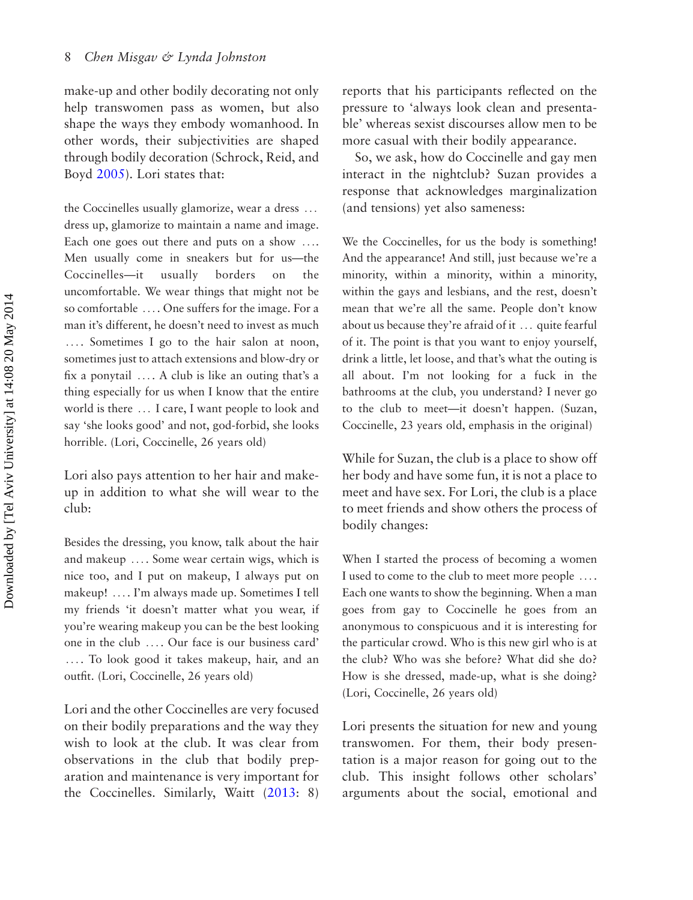make-up and other bodily decorating not only help transwomen pass as women, but also shape the ways they embody womanhood. In other words, their subjectivities are shaped through bodily decoration (Schrock, Reid, and Boyd [2005\)](#page-16-29). Lori states that:

the Coccinelles usually glamorize, wear a dress ... dress up, glamorize to maintain a name and image. Each one goes out there and puts on a show .... Men usually come in sneakers but for us—the Coccinelles—it usually borders on the uncomfortable. We wear things that might not be so comfortable ... . One suffers for the image. For a man it's different, he doesn't need to invest as much ... . Sometimes I go to the hair salon at noon, sometimes just to attach extensions and blow-dry or fix a ponytail ... . A club is like an outing that's a thing especially for us when I know that the entire world is there ... I care, I want people to look and say 'she looks good' and not, god-forbid, she looks horrible. (Lori, Coccinelle, 26 years old)

Lori also pays attention to her hair and makeup in addition to what she will wear to the club:

Besides the dressing, you know, talk about the hair and makeup ... . Some wear certain wigs, which is nice too, and I put on makeup, I always put on makeup! ... . I'm always made up. Sometimes I tell my friends 'it doesn't matter what you wear, if you're wearing makeup you can be the best looking one in the club ... . Our face is our business card' ... . To look good it takes makeup, hair, and an outfit. (Lori, Coccinelle, 26 years old)

Lori and the other Coccinelles are very focused on their bodily preparations and the way they wish to look at the club. It was clear from observations in the club that bodily preparation and maintenance is very important for the Coccinelles. Similarly, Waitt ([2013:](#page-17-0) 8)

reports that his participants reflected on the pressure to 'always look clean and presentable' whereas sexist discourses allow men to be more casual with their bodily appearance.

So, we ask, how do Coccinelle and gay men interact in the nightclub? Suzan provides a response that acknowledges marginalization (and tensions) yet also sameness:

We the Coccinelles, for us the body is something! And the appearance! And still, just because we're a minority, within a minority, within a minority, within the gays and lesbians, and the rest, doesn't mean that we're all the same. People don't know about us because they're afraid of it ... quite fearful of it. The point is that you want to enjoy yourself, drink a little, let loose, and that's what the outing is all about. I'm not looking for a fuck in the bathrooms at the club, you understand? I never go to the club to meet—it doesn't happen. (Suzan, Coccinelle, 23 years old, emphasis in the original)

While for Suzan, the club is a place to show off her body and have some fun, it is not a place to meet and have sex. For Lori, the club is a place to meet friends and show others the process of bodily changes:

When I started the process of becoming a women I used to come to the club to meet more people ... . Each one wants to show the beginning. When a man goes from gay to Coccinelle he goes from an anonymous to conspicuous and it is interesting for the particular crowd. Who is this new girl who is at the club? Who was she before? What did she do? How is she dressed, made-up, what is she doing? (Lori, Coccinelle, 26 years old)

Lori presents the situation for new and young transwomen. For them, their body presentation is a major reason for going out to the club. This insight follows other scholars' arguments about the social, emotional and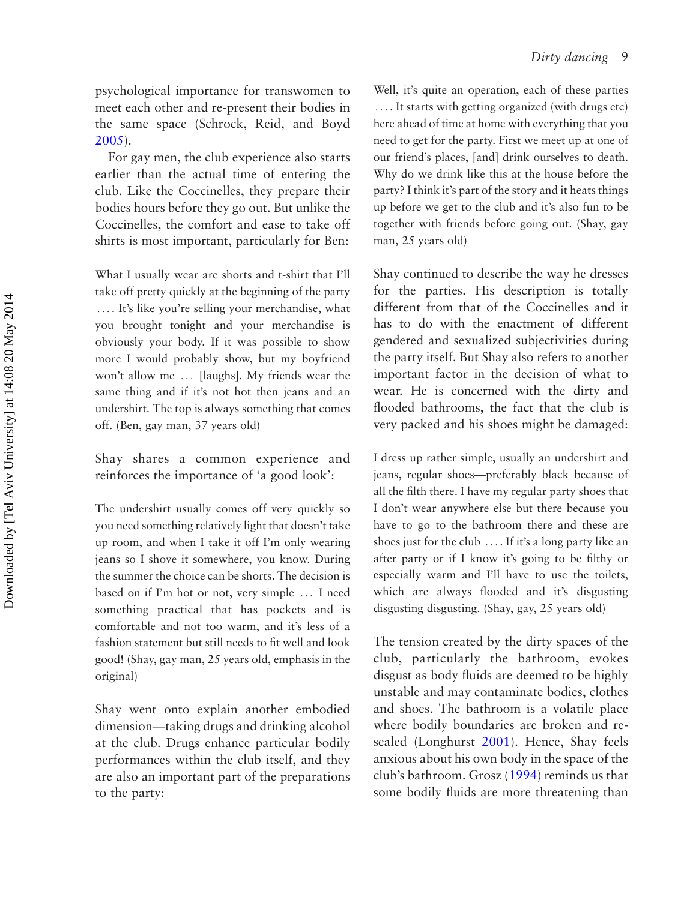psychological importance for transwomen to meet each other and re-present their bodies in the same space (Schrock, Reid, and Boyd [2005\)](#page-16-29).

For gay men, the club experience also starts earlier than the actual time of entering the club. Like the Coccinelles, they prepare their bodies hours before they go out. But unlike the Coccinelles, the comfort and ease to take off shirts is most important, particularly for Ben:

What I usually wear are shorts and t-shirt that I'll take off pretty quickly at the beginning of the party ... . It's like you're selling your merchandise, what you brought tonight and your merchandise is obviously your body. If it was possible to show more I would probably show, but my boyfriend won't allow me ... [laughs]. My friends wear the same thing and if it's not hot then jeans and an undershirt. The top is always something that comes off. (Ben, gay man, 37 years old)

Shay shares a common experience and reinforces the importance of 'a good look':

The undershirt usually comes off very quickly so you need something relatively light that doesn't take up room, and when I take it off I'm only wearing jeans so I shove it somewhere, you know. During the summer the choice can be shorts. The decision is based on if I'm hot or not, very simple ... I need something practical that has pockets and is comfortable and not too warm, and it's less of a fashion statement but still needs to fit well and look good! (Shay, gay man, 25 years old, emphasis in the original)

Shay went onto explain another embodied dimension—taking drugs and drinking alcohol at the club. Drugs enhance particular bodily performances within the club itself, and they are also an important part of the preparations to the party:

Well, it's quite an operation, each of these parties ... . It starts with getting organized (with drugs etc) here ahead of time at home with everything that you need to get for the party. First we meet up at one of our friend's places, [and] drink ourselves to death. Why do we drink like this at the house before the party? I think it's part of the story and it heats things up before we get to the club and it's also fun to be together with friends before going out. (Shay, gay man, 25 years old)

Shay continued to describe the way he dresses for the parties. His description is totally different from that of the Coccinelles and it has to do with the enactment of different gendered and sexualized subjectivities during the party itself. But Shay also refers to another important factor in the decision of what to wear. He is concerned with the dirty and flooded bathrooms, the fact that the club is very packed and his shoes might be damaged:

I dress up rather simple, usually an undershirt and jeans, regular shoes—preferably black because of all the filth there. I have my regular party shoes that I don't wear anywhere else but there because you have to go to the bathroom there and these are shoes just for the club ... . If it's a long party like an after party or if I know it's going to be filthy or especially warm and I'll have to use the toilets, which are always flooded and it's disgusting disgusting disgusting. (Shay, gay, 25 years old)

The tension created by the dirty spaces of the club, particularly the bathroom, evokes disgust as body fluids are deemed to be highly unstable and may contaminate bodies, clothes and shoes. The bathroom is a volatile place where bodily boundaries are broken and resealed (Longhurst [2001\)](#page-16-7). Hence, Shay feels anxious about his own body in the space of the club's bathroom. Grosz ([1994\)](#page-15-3) reminds us that some bodily fluids are more threatening than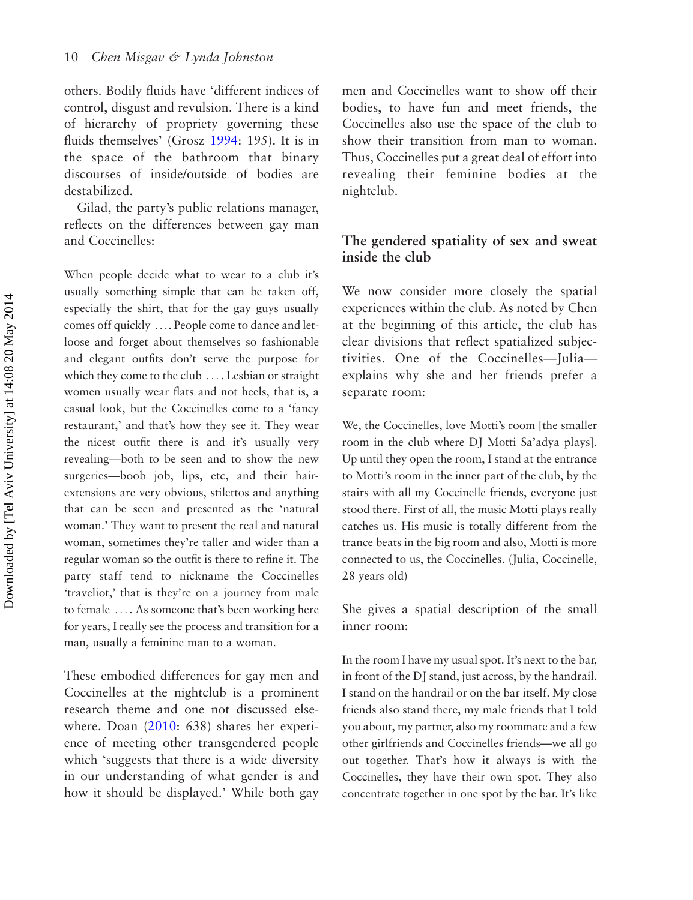others. Bodily fluids have 'different indices of control, disgust and revulsion. There is a kind of hierarchy of propriety governing these fluids themselves' (Grosz [1994](#page-15-3): 195). It is in the space of the bathroom that binary discourses of inside/outside of bodies are destabilized.

Gilad, the party's public relations manager, reflects on the differences between gay man and Coccinelles:

When people decide what to wear to a club it's usually something simple that can be taken off, especially the shirt, that for the gay guys usually comes off quickly .... People come to dance and letloose and forget about themselves so fashionable and elegant outfits don't serve the purpose for which they come to the club ... . Lesbian or straight women usually wear flats and not heels, that is, a casual look, but the Coccinelles come to a 'fancy restaurant,' and that's how they see it. They wear the nicest outfit there is and it's usually very revealing—both to be seen and to show the new surgeries—boob job, lips, etc, and their hairextensions are very obvious, stilettos and anything that can be seen and presented as the 'natural woman.' They want to present the real and natural woman, sometimes they're taller and wider than a regular woman so the outfit is there to refine it. The party staff tend to nickname the Coccinelles 'traveliot,' that is they're on a journey from male to female ... . As someone that's been working here for years, I really see the process and transition for a man, usually a feminine man to a woman.

These embodied differences for gay men and Coccinelles at the nightclub is a prominent research theme and one not discussed elsewhere. Doan [\(2010](#page-15-9): 638) shares her experience of meeting other transgendered people which 'suggests that there is a wide diversity in our understanding of what gender is and how it should be displayed.' While both gay men and Coccinelles want to show off their bodies, to have fun and meet friends, the Coccinelles also use the space of the club to show their transition from man to woman. Thus, Coccinelles put a great deal of effort into revealing their feminine bodies at the nightclub.

## The gendered spatiality of sex and sweat inside the club

We now consider more closely the spatial experiences within the club. As noted by Chen at the beginning of this article, the club has clear divisions that reflect spatialized subjectivities. One of the Coccinelles—Julia explains why she and her friends prefer a separate room:

We, the Coccinelles, love Motti's room [the smaller room in the club where DJ Motti Sa'adya plays]. Up until they open the room, I stand at the entrance to Motti's room in the inner part of the club, by the stairs with all my Coccinelle friends, everyone just stood there. First of all, the music Motti plays really catches us. His music is totally different from the trance beats in the big room and also, Motti is more connected to us, the Coccinelles. (Julia, Coccinelle, 28 years old)

She gives a spatial description of the small inner room:

In the room I have my usual spot. It's next to the bar, in front of the DJ stand, just across, by the handrail. I stand on the handrail or on the bar itself. My close friends also stand there, my male friends that I told you about, my partner, also my roommate and a few other girlfriends and Coccinelles friends—we all go out together. That's how it always is with the Coccinelles, they have their own spot. They also concentrate together in one spot by the bar. It's like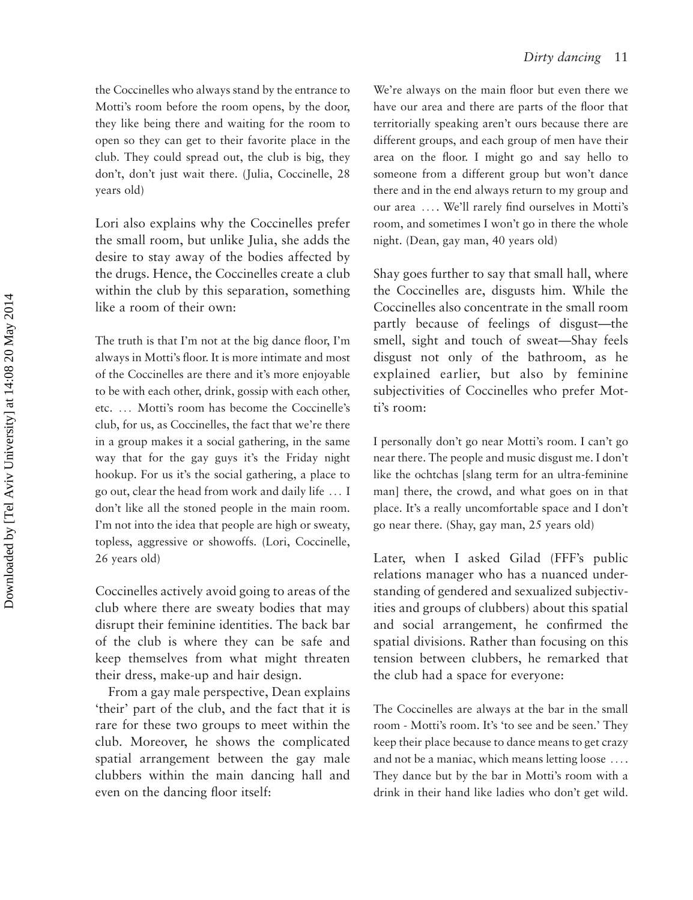the Coccinelles who always stand by the entrance to Motti's room before the room opens, by the door, they like being there and waiting for the room to open so they can get to their favorite place in the club. They could spread out, the club is big, they don't, don't just wait there. (Julia, Coccinelle, 28 years old)

Lori also explains why the Coccinelles prefer the small room, but unlike Julia, she adds the desire to stay away of the bodies affected by the drugs. Hence, the Coccinelles create a club within the club by this separation, something like a room of their own:

The truth is that I'm not at the big dance floor, I'm always in Motti's floor. It is more intimate and most of the Coccinelles are there and it's more enjoyable to be with each other, drink, gossip with each other, etc. ... Motti's room has become the Coccinelle's club, for us, as Coccinelles, the fact that we're there in a group makes it a social gathering, in the same way that for the gay guys it's the Friday night hookup. For us it's the social gathering, a place to go out, clear the head from work and daily life ... I don't like all the stoned people in the main room. I'm not into the idea that people are high or sweaty, topless, aggressive or showoffs. (Lori, Coccinelle, 26 years old)

Coccinelles actively avoid going to areas of the club where there are sweaty bodies that may disrupt their feminine identities. The back bar of the club is where they can be safe and keep themselves from what might threaten their dress, make-up and hair design.

From a gay male perspective, Dean explains 'their' part of the club, and the fact that it is rare for these two groups to meet within the club. Moreover, he shows the complicated spatial arrangement between the gay male clubbers within the main dancing hall and even on the dancing floor itself:

We're always on the main floor but even there we have our area and there are parts of the floor that territorially speaking aren't ours because there are different groups, and each group of men have their area on the floor. I might go and say hello to someone from a different group but won't dance there and in the end always return to my group and our area ... . We'll rarely find ourselves in Motti's room, and sometimes I won't go in there the whole night. (Dean, gay man, 40 years old)

Shay goes further to say that small hall, where the Coccinelles are, disgusts him. While the Coccinelles also concentrate in the small room partly because of feelings of disgust—the smell, sight and touch of sweat—Shay feels disgust not only of the bathroom, as he explained earlier, but also by feminine subjectivities of Coccinelles who prefer Motti's room:

I personally don't go near Motti's room. I can't go near there. The people and music disgust me. I don't like the ochtchas [slang term for an ultra-feminine man] there, the crowd, and what goes on in that place. It's a really uncomfortable space and I don't go near there. (Shay, gay man, 25 years old)

Later, when I asked Gilad (FFF's public relations manager who has a nuanced understanding of gendered and sexualized subjectivities and groups of clubbers) about this spatial and social arrangement, he confirmed the spatial divisions. Rather than focusing on this tension between clubbers, he remarked that the club had a space for everyone:

The Coccinelles are always at the bar in the small room - Motti's room. It's 'to see and be seen.' They keep their place because to dance means to get crazy and not be a maniac, which means letting loose ... . They dance but by the bar in Motti's room with a drink in their hand like ladies who don't get wild.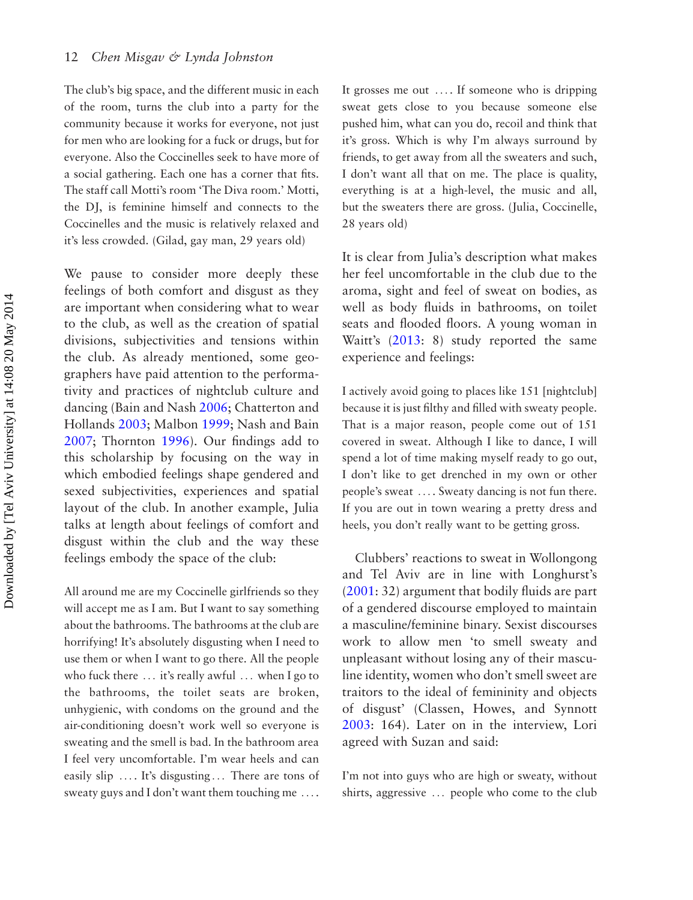The club's big space, and the different music in each of the room, turns the club into a party for the community because it works for everyone, not just for men who are looking for a fuck or drugs, but for everyone. Also the Coccinelles seek to have more of a social gathering. Each one has a corner that fits. The staff call Motti's room 'The Diva room.' Motti, the DJ, is feminine himself and connects to the Coccinelles and the music is relatively relaxed and it's less crowded. (Gilad, gay man, 29 years old)

We pause to consider more deeply these feelings of both comfort and disgust as they are important when considering what to wear to the club, as well as the creation of spatial divisions, subjectivities and tensions within the club. As already mentioned, some geographers have paid attention to the performativity and practices of nightclub culture and dancing (Bain and Nash [2006](#page-15-18); Chatterton and Hollands [2003;](#page-15-10) Malbon [1999](#page-16-21); Nash and Bain [2007;](#page-16-10) Thornton [1996\)](#page-17-4). Our findings add to this scholarship by focusing on the way in which embodied feelings shape gendered and sexed subjectivities, experiences and spatial layout of the club. In another example, Julia talks at length about feelings of comfort and disgust within the club and the way these feelings embody the space of the club:

All around me are my Coccinelle girlfriends so they will accept me as I am. But I want to say something about the bathrooms. The bathrooms at the club are horrifying! It's absolutely disgusting when I need to use them or when I want to go there. All the people who fuck there ... it's really awful ... when I go to the bathrooms, the toilet seats are broken, unhygienic, with condoms on the ground and the air-conditioning doesn't work well so everyone is sweating and the smell is bad. In the bathroom area I feel very uncomfortable. I'm wear heels and can easily slip ... . It's disgusting ... There are tons of sweaty guys and I don't want them touching me ... .

It grosses me out ... . If someone who is dripping sweat gets close to you because someone else pushed him, what can you do, recoil and think that it's gross. Which is why I'm always surround by friends, to get away from all the sweaters and such, I don't want all that on me. The place is quality, everything is at a high-level, the music and all, but the sweaters there are gross. (Julia, Coccinelle, 28 years old)

It is clear from Julia's description what makes her feel uncomfortable in the club due to the aroma, sight and feel of sweat on bodies, as well as body fluids in bathrooms, on toilet seats and flooded floors. A young woman in Waitt's ([2013:](#page-17-0) 8) study reported the same experience and feelings:

I actively avoid going to places like 151 [nightclub] because it is just filthy and filled with sweaty people. That is a major reason, people come out of 151 covered in sweat. Although I like to dance, I will spend a lot of time making myself ready to go out, I don't like to get drenched in my own or other people's sweat ... . Sweaty dancing is not fun there. If you are out in town wearing a pretty dress and heels, you don't really want to be getting gross.

Clubbers' reactions to sweat in Wollongong and Tel Aviv are in line with Longhurst's [\(2001](#page-16-7): 32) argument that bodily fluids are part of a gendered discourse employed to maintain a masculine/feminine binary. Sexist discourses work to allow men 'to smell sweaty and unpleasant without losing any of their masculine identity, women who don't smell sweet are traitors to the ideal of femininity and objects of disgust' (Classen, Howes, and Synnott [2003:](#page-15-20) 164). Later on in the interview, Lori agreed with Suzan and said:

I'm not into guys who are high or sweaty, without shirts, aggressive ... people who come to the club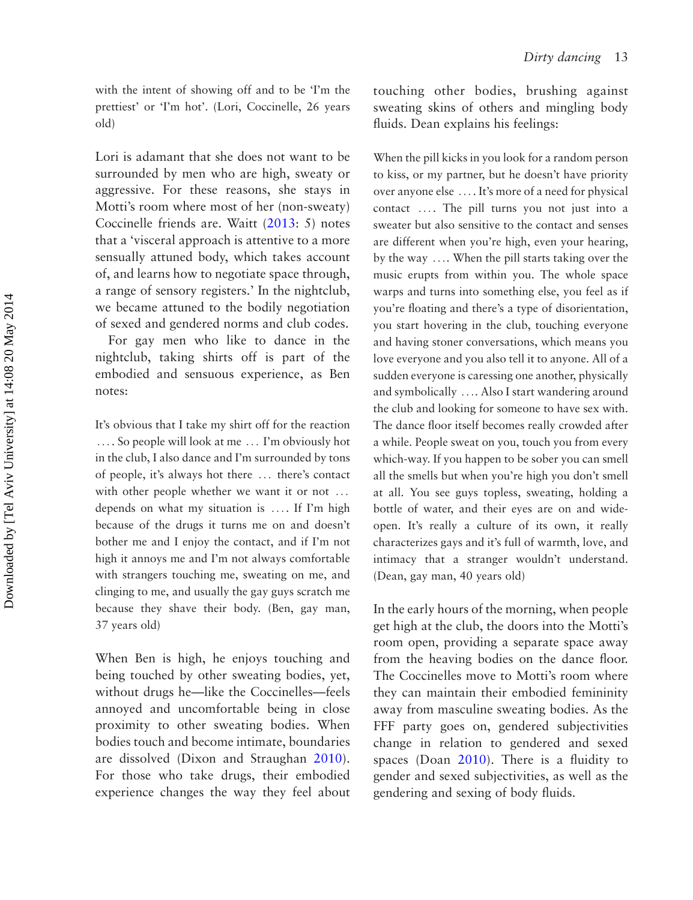with the intent of showing off and to be 'I'm the prettiest' or 'I'm hot'. (Lori, Coccinelle, 26 years old)

Lori is adamant that she does not want to be surrounded by men who are high, sweaty or aggressive. For these reasons, she stays in Motti's room where most of her (non-sweaty) Coccinelle friends are. Waitt ([2013:](#page-17-0) 5) notes that a 'visceral approach is attentive to a more sensually attuned body, which takes account of, and learns how to negotiate space through, a range of sensory registers.' In the nightclub, we became attuned to the bodily negotiation of sexed and gendered norms and club codes.

For gay men who like to dance in the nightclub, taking shirts off is part of the embodied and sensuous experience, as Ben notes:

It's obvious that I take my shirt off for the reaction ... . So people will look at me ... I'm obviously hot in the club, I also dance and I'm surrounded by tons of people, it's always hot there ... there's contact with other people whether we want it or not ... depends on what my situation is ... . If I'm high because of the drugs it turns me on and doesn't bother me and I enjoy the contact, and if I'm not high it annoys me and I'm not always comfortable with strangers touching me, sweating on me, and clinging to me, and usually the gay guys scratch me because they shave their body. (Ben, gay man, 37 years old)

When Ben is high, he enjoys touching and being touched by other sweating bodies, yet, without drugs he—like the Coccinelles—feels annoyed and uncomfortable being in close proximity to other sweating bodies. When bodies touch and become intimate, boundaries are dissolved (Dixon and Straughan [2010\)](#page-15-21). For those who take drugs, their embodied experience changes the way they feel about touching other bodies, brushing against sweating skins of others and mingling body fluids. Dean explains his feelings:

When the pill kicks in you look for a random person to kiss, or my partner, but he doesn't have priority over anyone else ... . It's more of a need for physical contact ... . The pill turns you not just into a sweater but also sensitive to the contact and senses are different when you're high, even your hearing, by the way .... When the pill starts taking over the music erupts from within you. The whole space warps and turns into something else, you feel as if you're floating and there's a type of disorientation, you start hovering in the club, touching everyone and having stoner conversations, which means you love everyone and you also tell it to anyone. All of a sudden everyone is caressing one another, physically and symbolically .... Also I start wandering around the club and looking for someone to have sex with. The dance floor itself becomes really crowded after a while. People sweat on you, touch you from every which-way. If you happen to be sober you can smell all the smells but when you're high you don't smell at all. You see guys topless, sweating, holding a bottle of water, and their eyes are on and wideopen. It's really a culture of its own, it really characterizes gays and it's full of warmth, love, and intimacy that a stranger wouldn't understand. (Dean, gay man, 40 years old)

In the early hours of the morning, when people get high at the club, the doors into the Motti's room open, providing a separate space away from the heaving bodies on the dance floor. The Coccinelles move to Motti's room where they can maintain their embodied femininity away from masculine sweating bodies. As the FFF party goes on, gendered subjectivities change in relation to gendered and sexed spaces (Doan [2010](#page-15-9)). There is a fluidity to gender and sexed subjectivities, as well as the gendering and sexing of body fluids.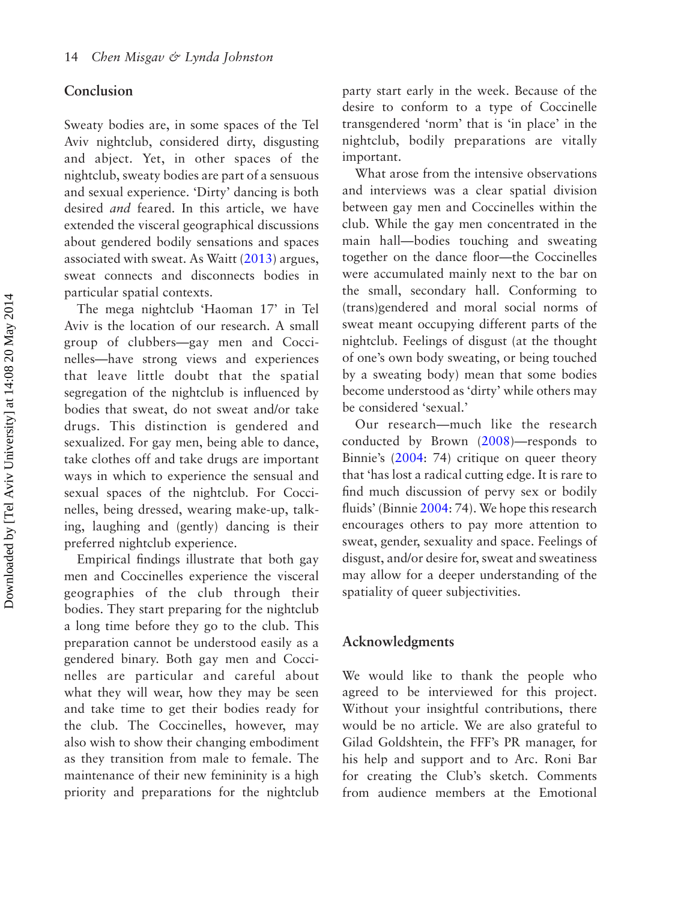### Conclusion

Sweaty bodies are, in some spaces of the Tel Aviv nightclub, considered dirty, disgusting and abject. Yet, in other spaces of the nightclub, sweaty bodies are part of a sensuous and sexual experience. 'Dirty' dancing is both desired and feared. In this article, we have extended the visceral geographical discussions about gendered bodily sensations and spaces associated with sweat. As Waitt ([2013\)](#page-17-0) argues, sweat connects and disconnects bodies in particular spatial contexts.

The mega nightclub 'Haoman 17' in Tel Aviv is the location of our research. A small group of clubbers—gay men and Coccinelles—have strong views and experiences that leave little doubt that the spatial segregation of the nightclub is influenced by bodies that sweat, do not sweat and/or take drugs. This distinction is gendered and sexualized. For gay men, being able to dance, take clothes off and take drugs are important ways in which to experience the sensual and sexual spaces of the nightclub. For Coccinelles, being dressed, wearing make-up, talking, laughing and (gently) dancing is their preferred nightclub experience.

Empirical findings illustrate that both gay men and Coccinelles experience the visceral geographies of the club through their bodies. They start preparing for the nightclub a long time before they go to the club. This preparation cannot be understood easily as a gendered binary. Both gay men and Coccinelles are particular and careful about what they will wear, how they may be seen and take time to get their bodies ready for the club. The Coccinelles, however, may also wish to show their changing embodiment as they transition from male to female. The maintenance of their new femininity is a high priority and preparations for the nightclub

party start early in the week. Because of the desire to conform to a type of Coccinelle transgendered 'norm' that is 'in place' in the nightclub, bodily preparations are vitally important.

What arose from the intensive observations and interviews was a clear spatial division between gay men and Coccinelles within the club. While the gay men concentrated in the main hall—bodies touching and sweating together on the dance floor—the Coccinelles were accumulated mainly next to the bar on the small, secondary hall. Conforming to (trans)gendered and moral social norms of sweat meant occupying different parts of the nightclub. Feelings of disgust (at the thought of one's own body sweating, or being touched by a sweating body) mean that some bodies become understood as 'dirty' while others may be considered 'sexual.'

Our research—much like the research conducted by Brown ([2008\)](#page-15-4)—responds to Binnie's ([2004:](#page-15-22) 74) critique on queer theory that 'has lost a radical cutting edge. It is rare to find much discussion of pervy sex or bodily fluids' (Binnie [2004](#page-15-22): 74). We hope this research encourages others to pay more attention to sweat, gender, sexuality and space. Feelings of disgust, and/or desire for, sweat and sweatiness may allow for a deeper understanding of the spatiality of queer subjectivities.

### Acknowledgments

We would like to thank the people who agreed to be interviewed for this project. Without your insightful contributions, there would be no article. We are also grateful to Gilad Goldshtein, the FFF's PR manager, for his help and support and to Arc. Roni Bar for creating the Club's sketch. Comments from audience members at the Emotional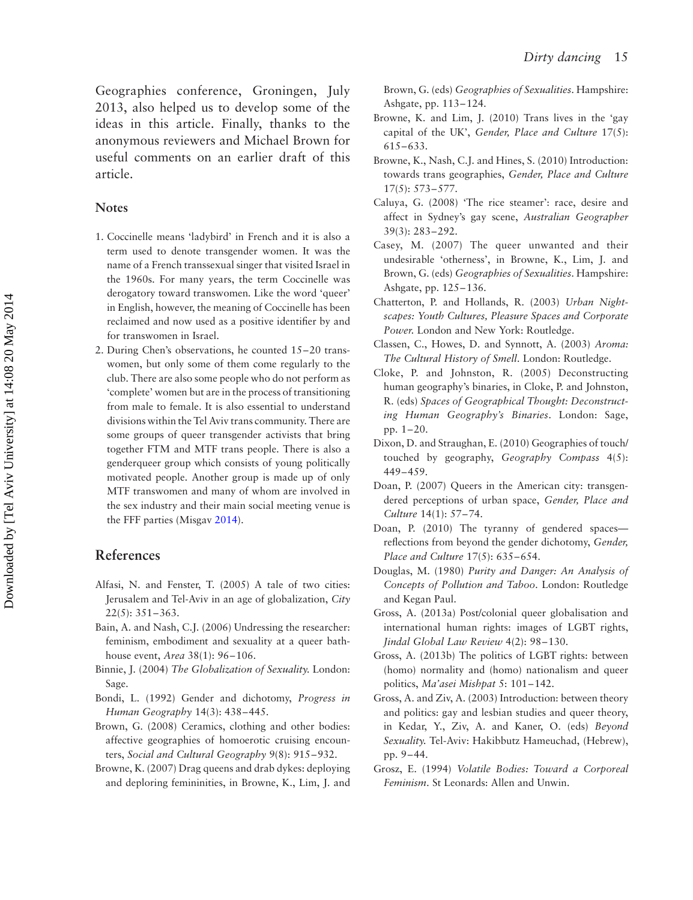Geographies conference, Groningen, July 2013, also helped us to develop some of the ideas in this article. Finally, thanks to the anonymous reviewers and Michael Brown for useful comments on an earlier draft of this article.

#### **Notes**

- <span id="page-15-0"></span>1. Coccinelle means 'ladybird' in French and it is also a term used to denote transgender women. It was the name of a French transsexual singer that visited Israel in the 1960s. For many years, the term Coccinelle was derogatory toward transwomen. Like the word 'queer' in English, however, the meaning of Coccinelle has been reclaimed and now used as a positive identifier by and for transwomen in Israel.
- <span id="page-15-19"></span>2. During Chen's observations, he counted 15–20 transwomen, but only some of them come regularly to the club. There are also some people who do not perform as 'complete' women but are in the process of transitioning from male to female. It is also essential to understand divisions within the Tel Aviv trans community. There are some groups of queer transgender activists that bring together FTM and MTF trans people. There is also a genderqueer group which consists of young politically motivated people. Another group is made up of only MTF transwomen and many of whom are involved in the sex industry and their main social meeting venue is the FFF parties (Misgav [2014\)](#page-16-30).

### References

- <span id="page-15-16"></span>Alfasi, N. and Fenster, T. (2005) A tale of two cities: Jerusalem and Tel-Aviv in an age of globalization, City 22(5): 351–363.
- <span id="page-15-18"></span>Bain, A. and Nash, C.J. (2006) Undressing the researcher: feminism, embodiment and sexuality at a queer bathhouse event, Area 38(1): 96–106.
- <span id="page-15-22"></span>Binnie, J. (2004) The Globalization of Sexuality. London: Sage.
- <span id="page-15-6"></span>Bondi, L. (1992) Gender and dichotomy, Progress in Human Geography 14(3): 438–445.
- <span id="page-15-4"></span>Brown, G. (2008) Ceramics, clothing and other bodies: affective geographies of homoerotic cruising encounters, Social and Cultural Geography 9(8): 915–932.
- <span id="page-15-12"></span>Browne, K. (2007) Drag queens and drab dykes: deploying and deploring femininities, in Browne, K., Lim, J. and

Brown, G. (eds) Geographies of Sexualities. Hampshire: Ashgate, pp. 113–124.

- <span id="page-15-7"></span>Browne, K. and Lim, J. (2010) Trans lives in the 'gay capital of the UK', Gender, Place and Culture 17(5): 615 –633.
- <span id="page-15-1"></span>Browne, K., Nash, C.J. and Hines, S. (2010) Introduction: towards trans geographies, Gender, Place and Culture 17(5): 573–577.
- <span id="page-15-13"></span>Caluya, G. (2008) 'The rice steamer': race, desire and affect in Sydney's gay scene, Australian Geographer 39(3): 283–292.
- <span id="page-15-11"></span>Casey, M. (2007) The queer unwanted and their undesirable 'otherness', in Browne, K., Lim, J. and Brown, G. (eds) Geographies of Sexualities. Hampshire: Ashgate, pp. 125–136.
- <span id="page-15-10"></span>Chatterton, P. and Hollands, R. (2003) Urban Nightscapes: Youth Cultures, Pleasure Spaces and Corporate Power. London and New York: Routledge.
- <span id="page-15-20"></span>Classen, C., Howes, D. and Synnott, A. (2003) Aroma: The Cultural History of Smell. London: Routledge.
- <span id="page-15-5"></span>Cloke, P. and Johnston, R. (2005) Deconstructing human geography's binaries, in Cloke, P. and Johnston, R. (eds) Spaces of Geographical Thought: Deconstructing Human Geography's Binaries. London: Sage, pp. 1–20.
- <span id="page-15-21"></span>Dixon, D. and Straughan, E. (2010) Geographies of touch/ touched by geography, Geography Compass 4(5): 449 –459.
- <span id="page-15-8"></span>Doan, P. (2007) Queers in the American city: transgendered perceptions of urban space, Gender, Place and Culture 14(1): 57–74.
- <span id="page-15-9"></span>Doan, P. (2010) The tyranny of gendered spaces reflections from beyond the gender dichotomy, Gender, Place and Culture 17(5): 635–654.
- <span id="page-15-2"></span>Douglas, M. (1980) Purity and Danger: An Analysis of Concepts of Pollution and Taboo. London: Routledge and Kegan Paul.
- <span id="page-15-15"></span>Gross, A. (2013a) Post/colonial queer globalisation and international human rights: images of LGBT rights, Jindal Global Law Review 4(2): 98–130.
- <span id="page-15-17"></span>Gross, A. (2013b) The politics of LGBT rights: between (homo) normality and (homo) nationalism and queer politics, Ma'asei Mishpat 5: 101–142.
- <span id="page-15-14"></span>Gross, A. and Ziv, A. (2003) Introduction: between theory and politics: gay and lesbian studies and queer theory, in Kedar, Y., Ziv, A. and Kaner, O. (eds) Beyond Sexuality. Tel-Aviv: Hakibbutz Hameuchad, (Hebrew), pp. 9–44.
- <span id="page-15-3"></span>Grosz, E. (1994) Volatile Bodies: Toward a Corporeal Feminism. St Leonards: Allen and Unwin.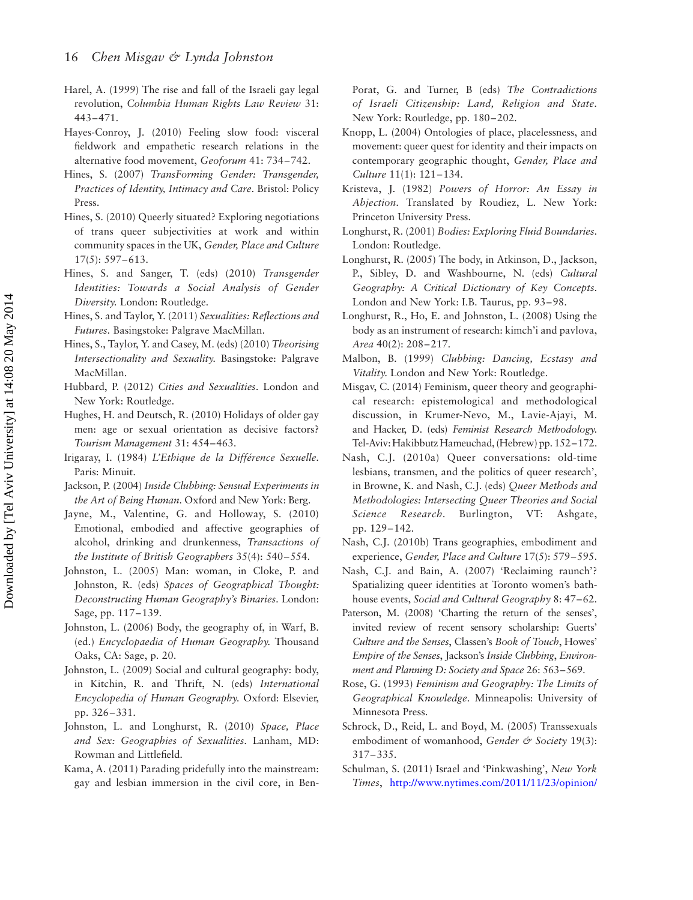- <span id="page-16-24"></span>Harel, A. (1999) The rise and fall of the Israeli gay legal revolution, Columbia Human Rights Law Review 31: 443 –471.
- <span id="page-16-3"></span>Hayes-Conroy, J. (2010) Feeling slow food: visceral fieldwork and empathetic research relations in the alternative food movement, Geoforum 41: 734 –742.
- <span id="page-16-14"></span>Hines, S. (2007) TransForming Gender: Transgender, Practices of Identity, Intimacy and Care. Bristol: Policy Press.
- <span id="page-16-15"></span>Hines, S. (2010) Queerly situated? Exploring negotiations of trans queer subjectivities at work and within community spaces in the UK, Gender, Place and Culture 17(5): 597–613.
- <span id="page-16-16"></span>Hines, S. and Sanger, T. (eds) (2010) Transgender Identities: Towards a Social Analysis of Gender Diversity. London: Routledge.
- <span id="page-16-17"></span>Hines, S. and Taylor, Y. (2011) Sexualities: Reflections and Futures. Basingstoke: Palgrave MacMillan.
- <span id="page-16-18"></span>Hines, S., Taylor, Y. and Casey, M. (eds) (2010) Theorising Intersectionality and Sexuality. Basingstoke: Palgrave MacMillan.
- <span id="page-16-19"></span>Hubbard, P. (2012) Cities and Sexualities. London and New York: Routledge.
- <span id="page-16-23"></span>Hughes, H. and Deutsch, R. (2010) Holidays of older gay men: age or sexual orientation as decisive factors? Tourism Management 31: 454–463.
- <span id="page-16-9"></span>Irigaray, I. (1984) L'Ethique de la Différence Sexuelle. Paris: Minuit.
- <span id="page-16-22"></span>Jackson, P. (2004) Inside Clubbing: Sensual Experiments in the Art of Being Human. Oxford and New York: Berg.
- <span id="page-16-20"></span>Jayne, M., Valentine, G. and Holloway, S. (2010) Emotional, embodied and affective geographies of alcohol, drinking and drunkenness, Transactions of the Institute of British Geographers 35(4): 540–554.
- <span id="page-16-11"></span>Johnston, L. (2005) Man: woman, in Cloke, P. and Johnston, R. (eds) Spaces of Geographical Thought: Deconstructing Human Geography's Binaries. London: Sage, pp. 117-139.
- <span id="page-16-5"></span>Johnston, L. (2006) Body, the geography of, in Warf, B. (ed.) Encyclopaedia of Human Geography. Thousand Oaks, CA: Sage, p. 20.
- <span id="page-16-6"></span>Johnston, L. (2009) Social and cultural geography: body, in Kitchin, R. and Thrift, N. (eds) International Encyclopedia of Human Geography. Oxford: Elsevier, pp. 326–331.
- <span id="page-16-12"></span>Johnston, L. and Longhurst, R. (2010) Space, Place and Sex: Geographies of Sexualities. Lanham, MD: Rowman and Littlefield.
- <span id="page-16-25"></span>Kama, A. (2011) Parading pridefully into the mainstream: gay and lesbian immersion in the civil core, in Ben-

Porat, G. and Turner, B (eds) The Contradictions of Israeli Citizenship: Land, Religion and State. New York: Routledge, pp. 180–202.

- <span id="page-16-0"></span>Knopp, L. (2004) Ontologies of place, placelessness, and movement: queer quest for identity and their impacts on contemporary geographic thought, Gender, Place and Culture 11(1): 121–134.
- <span id="page-16-4"></span>Kristeva, J. (1982) Powers of Horror: An Essay in Abjection. Translated by Roudiez, L. New York: Princeton University Press.
- <span id="page-16-7"></span>Longhurst, R. (2001) Bodies: Exploring Fluid Boundaries. London: Routledge.
- <span id="page-16-8"></span>Longhurst, R. (2005) The body, in Atkinson, D., Jackson, P., Sibley, D. and Washbourne, N. (eds) Cultural Geography: A Critical Dictionary of Key Concepts. London and New York: I.B. Taurus, pp. 93–98.
- <span id="page-16-27"></span>Longhurst, R., Ho, E. and Johnston, L. (2008) Using the body as an instrument of research: kimch'i and pavlova, Area 40(2): 208–217.
- <span id="page-16-21"></span>Malbon, B. (1999) Clubbing: Dancing, Ecstasy and Vitality. London and New York: Routledge.
- <span id="page-16-30"></span>Misgav, C. (2014) Feminism, queer theory and geographical research: epistemological and methodological discussion, in Krumer-Nevo, M., Lavie-Ajayi, M. and Hacker, D. (eds) Feminist Research Methodology. Tel-Aviv: Hakibbutz Hameuchad, (Hebrew) pp. 152–172.
- <span id="page-16-1"></span>Nash, C.J. (2010a) Queer conversations: old-time lesbians, transmen, and the politics of queer research', in Browne, K. and Nash, C.J. (eds) Queer Methods and Methodologies: Intersecting Queer Theories and Social Science Research. Burlington, VT: Ashgate, pp. 129–142.
- <span id="page-16-2"></span>Nash, C.J. (2010b) Trans geographies, embodiment and experience, Gender, Place and Culture 17(5): 579–595.
- <span id="page-16-10"></span>Nash, C.J. and Bain, A. (2007) 'Reclaiming raunch'? Spatializing queer identities at Toronto women's bathhouse events, Social and Cultural Geography 8: 47–62.
- <span id="page-16-28"></span>Paterson, M. (2008) 'Charting the return of the senses', invited review of recent sensory scholarship: Guerts' Culture and the Senses, Classen's Book of Touch, Howes' Empire of the Senses, Jackson's Inside Clubbing, Environment and Planning D: Society and Space 26: 563–569.
- <span id="page-16-13"></span>Rose, G. (1993) Feminism and Geography: The Limits of Geographical Knowledge. Minneapolis: University of Minnesota Press.
- <span id="page-16-29"></span>Schrock, D., Reid, L. and Boyd, M. (2005) Transsexuals embodiment of womanhood, Gender & Society 19(3): 317–335.
- <span id="page-16-26"></span>Schulman, S. (2011) Israel and 'Pinkwashing', New York Times, [http://www.nytimes.com/2011/11/23/opinion/](http://www.nytimes.com/2011/11/23/opinion/pinkwashing-and-israels-use-of-gays-as-a-messaging-tool.html?_r=0)